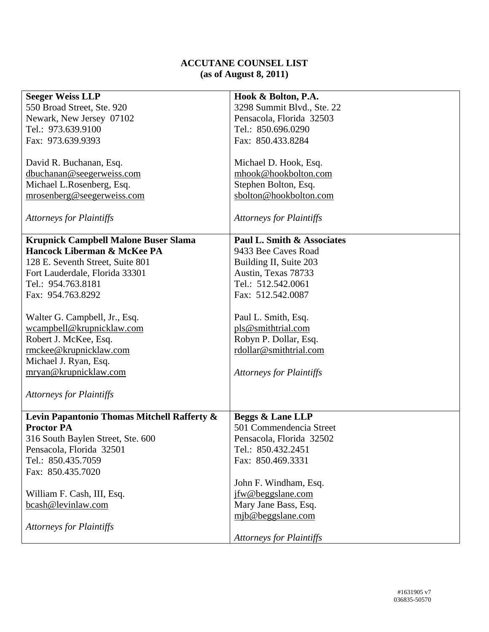## **ACCUTANE COUNSEL LIST (as of August 8, 2011)**

| <b>Seeger Weiss LLP</b>                     | Hook & Bolton, P.A.             |
|---------------------------------------------|---------------------------------|
| 550 Broad Street, Ste. 920                  | 3298 Summit Blvd., Ste. 22      |
| Newark, New Jersey 07102                    | Pensacola, Florida 32503        |
| Tel.: 973.639.9100                          | Tel.: 850.696.0290              |
|                                             |                                 |
| Fax: 973.639.9393                           | Fax: 850.433.8284               |
|                                             |                                 |
| David R. Buchanan, Esq.                     | Michael D. Hook, Esq.           |
| dbuchanan@seegerweiss.com                   | mhook@hookbolton.com            |
| Michael L.Rosenberg, Esq.                   | Stephen Bolton, Esq.            |
| mrosenberg@seegerweiss.com                  | sbolton@hookbolton.com          |
|                                             |                                 |
| <b>Attorneys for Plaintiffs</b>             | <b>Attorneys for Plaintiffs</b> |
|                                             |                                 |
| <b>Krupnick Campbell Malone Buser Slama</b> | Paul L. Smith & Associates      |
| Hancock Liberman & McKee PA                 | 9433 Bee Caves Road             |
| 128 E. Seventh Street, Suite 801            | Building II, Suite 203          |
| Fort Lauderdale, Florida 33301              | Austin, Texas 78733             |
| Tel.: 954.763.8181                          | Tel.: 512.542.0061              |
| Fax: 954.763.8292                           | Fax: 512.542.0087               |
|                                             |                                 |
| Walter G. Campbell, Jr., Esq.               | Paul L. Smith, Esq.             |
| wcampbell@krupnicklaw.com                   | pls@smithtrial.com              |
| Robert J. McKee, Esq.                       | Robyn P. Dollar, Esq.           |
| rmckee@krupnicklaw.com                      | rdollar@smithtrial.com          |
| Michael J. Ryan, Esq.                       |                                 |
| mryan@krupnicklaw.com                       | <b>Attorneys for Plaintiffs</b> |
|                                             |                                 |
| <b>Attorneys for Plaintiffs</b>             |                                 |
|                                             |                                 |
| Levin Papantonio Thomas Mitchell Rafferty & | <b>Beggs &amp; Lane LLP</b>     |
| <b>Proctor PA</b>                           | 501 Commendencia Street         |
| 316 South Baylen Street, Ste. 600           | Pensacola, Florida 32502        |
| Pensacola, Florida 32501                    | Tel.: 850.432.2451              |
| Tel.: 850.435.7059                          | Fax: 850.469.3331               |
| Fax: 850.435.7020                           |                                 |
|                                             | John F. Windham, Esq.           |
| William F. Cash, III, Esq.                  | jfw@beggslane.com               |
| bcash@levinlaw.com                          | Mary Jane Bass, Esq.            |
|                                             | mjb@beggslane.com               |
| <b>Attorneys for Plaintiffs</b>             |                                 |
|                                             | <b>Attorneys for Plaintiffs</b> |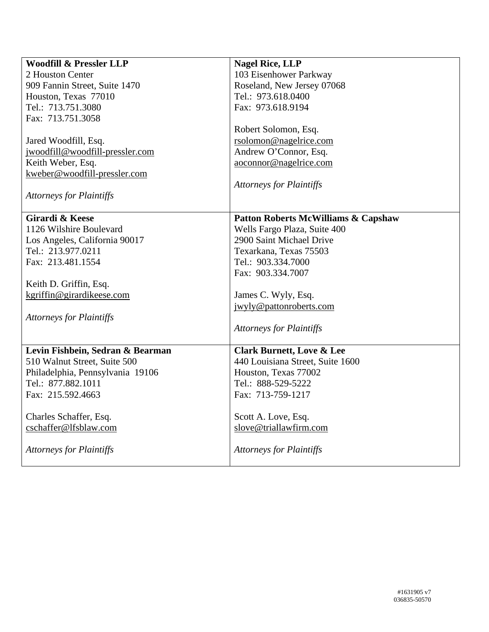| <b>Woodfill &amp; Pressler LLP</b> | <b>Nagel Rice, LLP</b>                         |
|------------------------------------|------------------------------------------------|
| 2 Houston Center                   | 103 Eisenhower Parkway                         |
| 909 Fannin Street, Suite 1470      | Roseland, New Jersey 07068                     |
| Houston, Texas 77010               | Tel.: 973.618.0400                             |
| Tel.: 713.751.3080                 | Fax: 973.618.9194                              |
| Fax: 713.751.3058                  |                                                |
|                                    | Robert Solomon, Esq.                           |
| Jared Woodfill, Esq.               | rsolomon@nagelrice.com                         |
| jwoodfill@woodfill-pressler.com    | Andrew O'Connor, Esq.                          |
| Keith Weber, Esq.                  | aoconnor@nagelrice.com                         |
| kweber@woodfill-pressler.com       |                                                |
|                                    | <b>Attorneys for Plaintiffs</b>                |
| <b>Attorneys for Plaintiffs</b>    |                                                |
|                                    |                                                |
| <b>Girardi &amp; Keese</b>         | <b>Patton Roberts McWilliams &amp; Capshaw</b> |
| 1126 Wilshire Boulevard            | Wells Fargo Plaza, Suite 400                   |
| Los Angeles, California 90017      | 2900 Saint Michael Drive                       |
| Tel.: 213.977.0211                 | Texarkana, Texas 75503                         |
| Fax: 213.481.1554                  | Tel.: 903.334.7000                             |
|                                    | Fax: 903.334.7007                              |
| Keith D. Griffin, Esq.             |                                                |
| kgriffin@girardikeese.com          | James C. Wyly, Esq.                            |
|                                    | jwyly@pattonroberts.com                        |
| <b>Attorneys for Plaintiffs</b>    |                                                |
|                                    | <b>Attorneys for Plaintiffs</b>                |
|                                    |                                                |
| Levin Fishbein, Sedran & Bearman   | <b>Clark Burnett, Love &amp; Lee</b>           |
| 510 Walnut Street, Suite 500       | 440 Louisiana Street, Suite 1600               |
| Philadelphia, Pennsylvania 19106   | Houston, Texas 77002                           |
| Tel.: 877.882.1011                 | Tel.: 888-529-5222                             |
| Fax: 215.592.4663                  | Fax: 713-759-1217                              |
|                                    |                                                |
| Charles Schaffer, Esq.             | Scott A. Love, Esq.                            |
| cschaffer@lfsblaw.com              | slove@triallawfirm.com                         |
|                                    |                                                |
| <b>Attorneys for Plaintiffs</b>    | <b>Attorneys for Plaintiffs</b>                |
|                                    |                                                |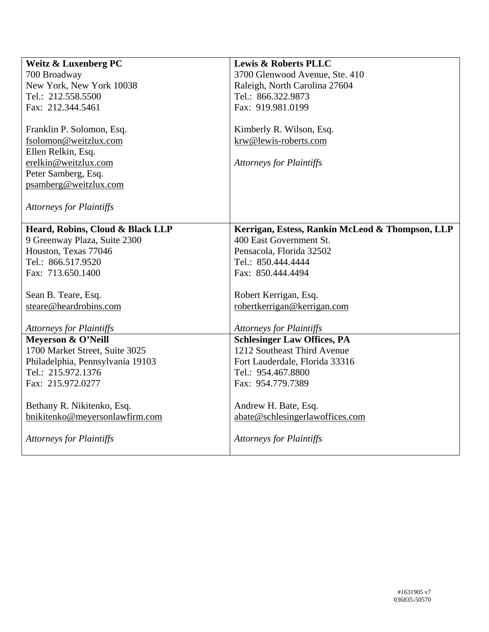| <b>Weitz &amp; Luxenberg PC</b>  | <b>Lewis &amp; Roberts PLLC</b>                 |
|----------------------------------|-------------------------------------------------|
| 700 Broadway                     | 3700 Glenwood Avenue, Ste. 410                  |
| New York, New York 10038         | Raleigh, North Carolina 27604                   |
| Tel.: 212.558.5500               | Tel.: 866.322.9873                              |
| Fax: 212.344.5461                | Fax: 919.981.0199                               |
|                                  |                                                 |
| Franklin P. Solomon, Esq.        | Kimberly R. Wilson, Esq.                        |
| fsolomon@weitzlux.com            | krw@lewis-roberts.com                           |
| Ellen Relkin, Esq.               |                                                 |
| erelkin@weitzlux.com             | <b>Attorneys for Plaintiffs</b>                 |
| Peter Samberg, Esq.              |                                                 |
| psamberg@weitzlux.com            |                                                 |
|                                  |                                                 |
| <b>Attorneys for Plaintiffs</b>  |                                                 |
|                                  |                                                 |
| Heard, Robins, Cloud & Black LLP | Kerrigan, Estess, Rankin McLeod & Thompson, LLP |
| 9 Greenway Plaza, Suite 2300     | 400 East Government St.                         |
| Houston, Texas 77046             | Pensacola, Florida 32502                        |
| Tel.: 866.517.9520               | Tel.: 850.444.4444                              |
| Fax: 713.650.1400                | Fax: 850.444.4494                               |
|                                  |                                                 |
| Sean B. Teare, Esq.              | Robert Kerrigan, Esq.                           |
| steare@heardrobins.com           | robertkerrigan@kerrigan.com                     |
| <b>Attorneys for Plaintiffs</b>  | <b>Attorneys for Plaintiffs</b>                 |
| Meyerson & O'Neill               | <b>Schlesinger Law Offices, PA</b>              |
| 1700 Market Street, Suite 3025   | 1212 Southeast Third Avenue                     |
| Philadelphia, Pennsylvania 19103 | Fort Lauderdale, Florida 33316                  |
| Tel.: 215.972.1376               | Tel.: 954.467.8800                              |
| Fax: 215.972.0277                | Fax: 954.779.7389                               |
|                                  |                                                 |
| Bethany R. Nikitenko, Esq.       | Andrew H. Bate, Esq.                            |
| bnikitenko@meyersonlawfirm.com   | abate@schlesingerlawoffices.com                 |
|                                  |                                                 |
| <b>Attorneys for Plaintiffs</b>  | <b>Attorneys for Plaintiffs</b>                 |
|                                  |                                                 |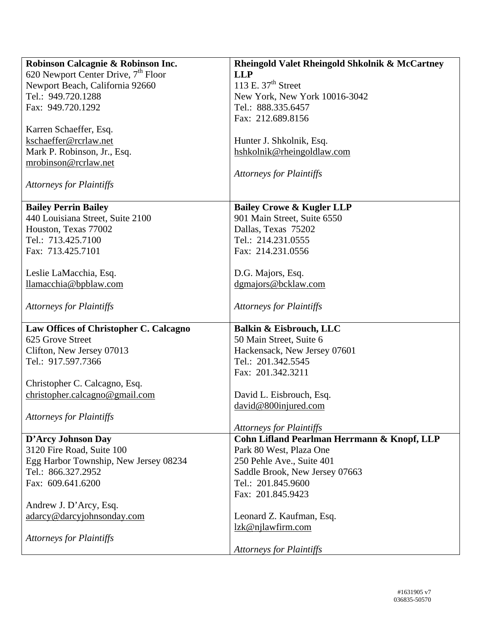| Robinson Calcagnie & Robinson Inc.              | <b>Rheingold Valet Rheingold Shkolnik &amp; McCartney</b> |
|-------------------------------------------------|-----------------------------------------------------------|
| 620 Newport Center Drive, 7 <sup>th</sup> Floor | <b>LLP</b>                                                |
| Newport Beach, California 92660                 | 113 E. $37th$ Street                                      |
| Tel.: 949.720.1288                              | New York, New York 10016-3042                             |
| Fax: 949.720.1292                               | Tel.: 888.335.6457                                        |
|                                                 | Fax: 212.689.8156                                         |
| Karren Schaeffer, Esq.                          |                                                           |
| kschaeffer@rcrlaw.net                           | Hunter J. Shkolnik, Esq.                                  |
| Mark P. Robinson, Jr., Esq.                     | hshkolnik@rheingoldlaw.com                                |
| mrobinson@rcrlaw.net                            |                                                           |
|                                                 | <b>Attorneys for Plaintiffs</b>                           |
| <b>Attorneys for Plaintiffs</b>                 |                                                           |
|                                                 |                                                           |
| <b>Bailey Perrin Bailey</b>                     | <b>Bailey Crowe &amp; Kugler LLP</b>                      |
| 440 Louisiana Street, Suite 2100                | 901 Main Street, Suite 6550                               |
| Houston, Texas 77002                            | Dallas, Texas 75202                                       |
| Tel.: 713.425.7100                              | Tel.: 214.231.0555                                        |
| Fax: 713.425.7101                               | Fax: 214.231.0556                                         |
|                                                 |                                                           |
| Leslie LaMacchia, Esq.                          | D.G. Majors, Esq.                                         |
| llamacchia@bpblaw.com                           | dgmajors@bcklaw.com                                       |
|                                                 |                                                           |
| <b>Attorneys for Plaintiffs</b>                 | <b>Attorneys for Plaintiffs</b>                           |
|                                                 |                                                           |
| Law Offices of Christopher C. Calcagno          | Balkin & Eisbrouch, LLC                                   |
| 625 Grove Street                                | 50 Main Street, Suite 6                                   |
| Clifton, New Jersey 07013                       | Hackensack, New Jersey 07601                              |
| Tel.: 917.597.7366                              | Tel.: 201.342.5545                                        |
|                                                 | Fax: 201.342.3211                                         |
| Christopher C. Calcagno, Esq.                   |                                                           |
| christopher.calcagno@gmail.com                  | David L. Eisbrouch, Esq.                                  |
|                                                 | david@800injured.com                                      |
| <b>Attorneys for Plaintiffs</b>                 |                                                           |
|                                                 | <b>Attorneys for Plaintiffs</b>                           |
| D'Arcy Johnson Day                              | Cohn Lifland Pearlman Herrmann & Knopf, LLP               |
| 3120 Fire Road, Suite 100                       | Park 80 West, Plaza One                                   |
| Egg Harbor Township, New Jersey 08234           | 250 Pehle Ave., Suite 401                                 |
| Tel.: 866.327.2952                              | Saddle Brook, New Jersey 07663                            |
| Fax: 609.641.6200                               | Tel.: 201.845.9600                                        |
|                                                 | Fax: 201.845.9423                                         |
| Andrew J. D'Arcy, Esq.                          |                                                           |
| adarcy@darcyjohnsonday.com                      | Leonard Z. Kaufman, Esq.                                  |
|                                                 | lzk@njlawfirm.com                                         |
| <b>Attorneys for Plaintiffs</b>                 |                                                           |
|                                                 | <b>Attorneys for Plaintiffs</b>                           |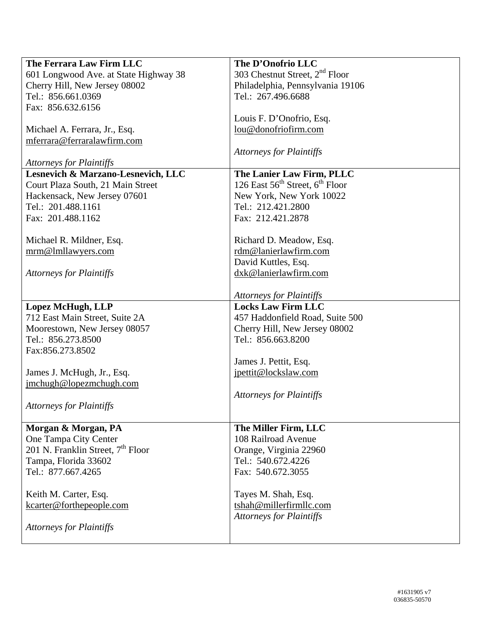| The Ferrara Law Firm LLC                      | The D'Onofrio LLC                                       |
|-----------------------------------------------|---------------------------------------------------------|
| 601 Longwood Ave. at State Highway 38         | 303 Chestnut Street, 2 <sup>nd</sup> Floor              |
| Cherry Hill, New Jersey 08002                 | Philadelphia, Pennsylvania 19106                        |
| Tel.: 856.661.0369                            | Tel.: 267.496.6688                                      |
| Fax: 856.632.6156                             |                                                         |
|                                               | Louis F. D'Onofrio, Esq.                                |
| Michael A. Ferrara, Jr., Esq.                 | lou@donofriofirm.com                                    |
| mferrara@ferraralawfirm.com                   |                                                         |
|                                               | <b>Attorneys for Plaintiffs</b>                         |
| <b>Attorneys for Plaintiffs</b>               |                                                         |
| Lesnevich & Marzano-Lesnevich, LLC            | The Lanier Law Firm, PLLC                               |
| Court Plaza South, 21 Main Street             | 126 East $56^{\text{th}}$ Street, $6^{\text{th}}$ Floor |
| Hackensack, New Jersey 07601                  | New York, New York 10022                                |
| Tel.: 201.488.1161                            | Tel.: 212.421.2800                                      |
| Fax: 201.488.1162                             | Fax: 212.421.2878                                       |
|                                               |                                                         |
| Michael R. Mildner, Esq.                      | Richard D. Meadow, Esq.                                 |
| mrm@lmllawyers.com                            | rdm@lanierlawfirm.com                                   |
|                                               | David Kuttles, Esq.                                     |
| <b>Attorneys for Plaintiffs</b>               | dxk@lanierlawfirm.com                                   |
|                                               |                                                         |
|                                               | <b>Attorneys for Plaintiffs</b>                         |
| <b>Lopez McHugh, LLP</b>                      | <b>Locks Law Firm LLC</b>                               |
| 712 East Main Street, Suite 2A                | 457 Haddonfield Road, Suite 500                         |
| Moorestown, New Jersey 08057                  | Cherry Hill, New Jersey 08002                           |
| Tel.: 856.273.8500                            | Tel.: 856.663.8200                                      |
| Fax:856.273.8502                              |                                                         |
|                                               | James J. Pettit, Esq.                                   |
| James J. McHugh, Jr., Esq.                    | jpettit@lockslaw.com                                    |
| jmchugh@lopezmchugh.com                       |                                                         |
|                                               | <b>Attorneys for Plaintiffs</b>                         |
| <b>Attorneys for Plaintiffs</b>               |                                                         |
|                                               |                                                         |
| Morgan & Morgan, PA                           | The Miller Firm, LLC                                    |
| One Tampa City Center                         | 108 Railroad Avenue                                     |
| 201 N. Franklin Street, 7 <sup>th</sup> Floor | Orange, Virginia 22960                                  |
| Tampa, Florida 33602                          | Tel.: 540.672.4226                                      |
| Tel.: 877.667.4265                            | Fax: 540.672.3055                                       |
|                                               |                                                         |
| Keith M. Carter, Esq.                         | Tayes M. Shah, Esq.                                     |
| kcarter@forthepeople.com                      | tshah@millerfirmllc.com                                 |
|                                               | <b>Attorneys for Plaintiffs</b>                         |
| <b>Attorneys for Plaintiffs</b>               |                                                         |
|                                               |                                                         |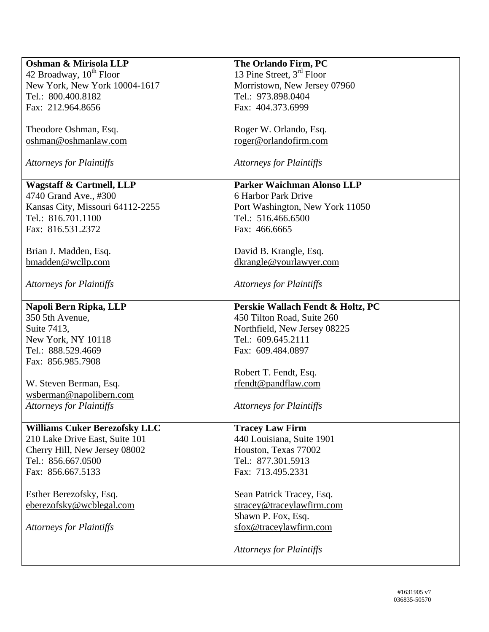| Oshman & Mirisola LLP                | The Orlando Firm, PC                  |
|--------------------------------------|---------------------------------------|
| 42 Broadway, 10 <sup>th</sup> Floor  | 13 Pine Street, 3 <sup>rd</sup> Floor |
| New York, New York 10004-1617        | Morristown, New Jersey 07960          |
| Tel.: 800.400.8182                   | Tel.: 973.898.0404                    |
| Fax: 212.964.8656                    | Fax: 404.373.6999                     |
|                                      |                                       |
| Theodore Oshman, Esq.                | Roger W. Orlando, Esq.                |
| oshman@oshmanlaw.com                 | roger@orlandofirm.com                 |
|                                      |                                       |
| <b>Attorneys for Plaintiffs</b>      | <b>Attorneys for Plaintiffs</b>       |
| <b>Wagstaff &amp; Cartmell, LLP</b>  | Parker Waichman Alonso LLP            |
| 4740 Grand Ave., #300                | 6 Harbor Park Drive                   |
| Kansas City, Missouri 64112-2255     | Port Washington, New York 11050       |
| Tel.: 816.701.1100                   | Tel.: 516.466.6500                    |
| Fax: 816.531.2372                    | Fax: 466.6665                         |
|                                      |                                       |
| Brian J. Madden, Esq.                | David B. Krangle, Esq.                |
|                                      |                                       |
| bmadden@wcllp.com                    | dkrangle@yourlawyer.com               |
| <b>Attorneys for Plaintiffs</b>      | <b>Attorneys for Plaintiffs</b>       |
| Napoli Bern Ripka, LLP               | Perskie Wallach Fendt & Holtz, PC     |
| 350 5th Avenue,                      | 450 Tilton Road, Suite 260            |
| Suite 7413,                          | Northfield, New Jersey 08225          |
| New York, NY 10118                   | Tel.: 609.645.2111                    |
| Tel.: 888.529.4669                   | Fax: 609.484.0897                     |
| Fax: 856.985.7908                    |                                       |
|                                      |                                       |
|                                      | Robert T. Fendt, Esq.                 |
| W. Steven Berman, Esq.               | rfendt@pandflaw.com                   |
| wsberman@napolibern.com              |                                       |
| <b>Attorneys for Plaintiffs</b>      | <b>Attorneys for Plaintiffs</b>       |
| <b>Williams Cuker Berezofsky LLC</b> | <b>Tracey Law Firm</b>                |
| 210 Lake Drive East, Suite 101       | 440 Louisiana, Suite 1901             |
| Cherry Hill, New Jersey 08002        | Houston, Texas 77002                  |
| Tel.: 856.667.0500                   | Tel.: 877.301.5913                    |
| Fax: 856.667.5133                    |                                       |
|                                      | Fax: 713.495.2331                     |
| Esther Berezofsky, Esq.              | Sean Patrick Tracey, Esq.             |
| eberezofsky@wcblegal.com             | stracey@traceylawfirm.com             |
|                                      |                                       |
|                                      | Shawn P. Fox, Esq.                    |
| <b>Attorneys for Plaintiffs</b>      | sfox@traceylawfirm.com                |
|                                      |                                       |
|                                      | <b>Attorneys for Plaintiffs</b>       |
|                                      |                                       |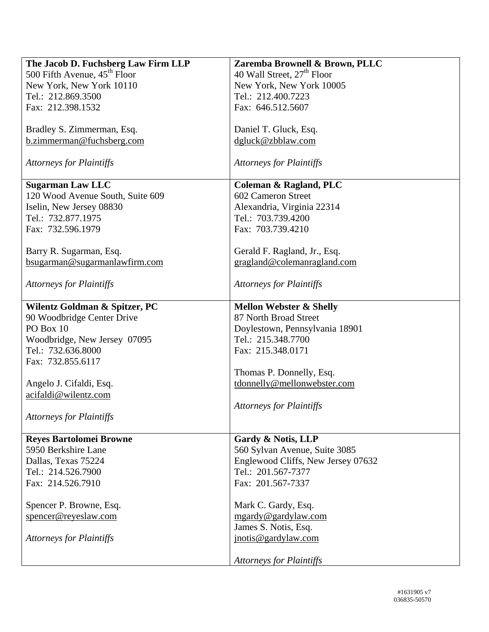| The Jacob D. Fuchsberg Law Firm LLP      | Zaremba Brownell & Brown, PLLC         |
|------------------------------------------|----------------------------------------|
| 500 Fifth Avenue, 45 <sup>th</sup> Floor | 40 Wall Street, 27 <sup>th</sup> Floor |
| New York, New York 10110                 | New York, New York 10005               |
| Tel.: 212.869.3500                       | Tel.: 212.400.7223                     |
|                                          |                                        |
| Fax: 212.398.1532                        | Fax: 646.512.5607                      |
| Bradley S. Zimmerman, Esq.               | Daniel T. Gluck, Esq.                  |
| b.zimmerman@fuchsberg.com                | dgluck@zbblaw.com                      |
|                                          |                                        |
| <b>Attorneys for Plaintiffs</b>          | <b>Attorneys for Plaintiffs</b>        |
| <b>Sugarman Law LLC</b>                  | Coleman & Ragland, PLC                 |
| 120 Wood Avenue South, Suite 609         | 602 Cameron Street                     |
| Iselin, New Jersey 08830                 | Alexandria, Virginia 22314             |
| Tel.: 732.877.1975                       | Tel.: 703.739.4200                     |
| Fax: 732.596.1979                        | Fax: 703.739.4210                      |
|                                          |                                        |
|                                          |                                        |
| Barry R. Sugarman, Esq.                  | Gerald F. Ragland, Jr., Esq.           |
| bsugarman@sugarmanlawfirm.com            | gragland@colemanragland.com            |
| <b>Attorneys for Plaintiffs</b>          | <b>Attorneys for Plaintiffs</b>        |
| Wilentz Goldman & Spitzer, PC            | <b>Mellon Webster &amp; Shelly</b>     |
|                                          | 87 North Broad Street                  |
| 90 Woodbridge Center Drive               |                                        |
| PO Box 10                                | Doylestown, Pennsylvania 18901         |
| Woodbridge, New Jersey 07095             | Tel.: 215.348.7700                     |
| Tel.: 732.636.8000                       | Fax: 215.348.0171                      |
| Fax: 732.855.6117                        |                                        |
|                                          | Thomas P. Donnelly, Esq.               |
| Angelo J. Cifaldi, Esq.                  | tdonnelly@mellonwebster.com            |
| acifaldi@wilentz.com                     |                                        |
|                                          | <b>Attorneys for Plaintiffs</b>        |
| <b>Attorneys for Plaintiffs</b>          |                                        |
|                                          |                                        |
| <b>Reyes Bartolomei Browne</b>           | Gardy & Notis, LLP                     |
| 5950 Berkshire Lane                      | 560 Sylvan Avenue, Suite 3085          |
| Dallas, Texas 75224                      | Englewood Cliffs, New Jersey 07632     |
| Tel.: 214.526.7900                       | Tel.: 201.567-7377                     |
| Fax: 214.526.7910                        | Fax: 201.567-7337                      |
|                                          |                                        |
| Spencer P. Browne, Esq.                  | Mark C. Gardy, Esq.                    |
| spencer@reyeslaw.com                     | mgardy@gardylaw.com                    |
|                                          |                                        |
|                                          | James S. Notis, Esq.                   |
| <b>Attorneys for Plaintiffs</b>          | jnotis@gardylaw.com                    |
|                                          | <b>Attorneys for Plaintiffs</b>        |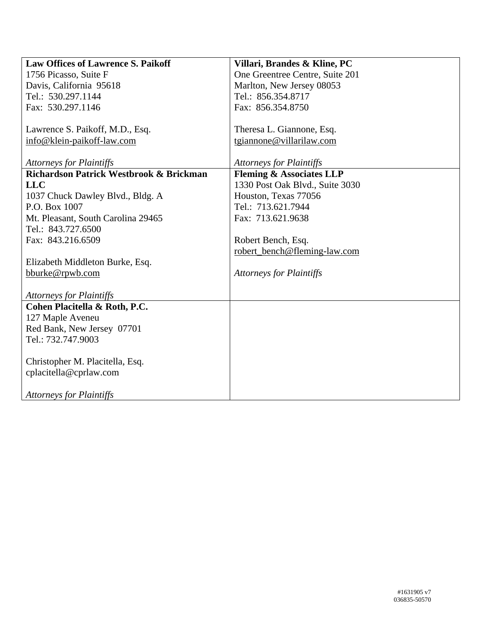| <b>Law Offices of Lawrence S. Paikoff</b> | Villari, Brandes & Kline, PC        |
|-------------------------------------------|-------------------------------------|
| 1756 Picasso, Suite F                     | One Greentree Centre, Suite 201     |
| Davis, California 95618                   | Marlton, New Jersey 08053           |
| Tel.: 530.297.1144                        | Tel.: 856.354.8717                  |
| Fax: 530.297.1146                         | Fax: 856.354.8750                   |
|                                           |                                     |
| Lawrence S. Paikoff, M.D., Esq.           | Theresa L. Giannone, Esq.           |
| info@klein-paikoff-law.com                | tgiannone@villarilaw.com            |
|                                           |                                     |
| <b>Attorneys for Plaintiffs</b>           | <b>Attorneys for Plaintiffs</b>     |
| Richardson Patrick Westbrook & Brickman   | <b>Fleming &amp; Associates LLP</b> |
| <b>LLC</b>                                | 1330 Post Oak Blvd., Suite 3030     |
| 1037 Chuck Dawley Blvd., Bldg. A          | Houston, Texas 77056                |
| P.O. Box 1007                             | Tel.: 713.621.7944                  |
| Mt. Pleasant, South Carolina 29465        | Fax: 713.621.9638                   |
| Tel.: 843.727.6500                        |                                     |
| Fax: 843.216.6509                         | Robert Bench, Esq.                  |
|                                           | robert_bench@fleming-law.com        |
| Elizabeth Middleton Burke, Esq.           |                                     |
| bburke@rpwb.com                           | <b>Attorneys for Plaintiffs</b>     |
|                                           |                                     |
| <b>Attorneys for Plaintiffs</b>           |                                     |
| Cohen Placitella & Roth, P.C.             |                                     |
| 127 Maple Aveneu                          |                                     |
| Red Bank, New Jersey 07701                |                                     |
| Tel.: 732.747.9003                        |                                     |
|                                           |                                     |
| Christopher M. Placitella, Esq.           |                                     |
| cplacitella@cprlaw.com                    |                                     |
|                                           |                                     |
| <b>Attorneys for Plaintiffs</b>           |                                     |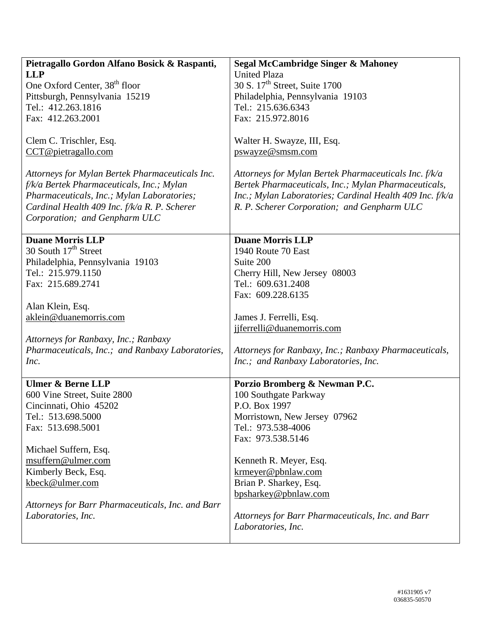| Pietragallo Gordon Alfano Bosick & Raspanti,      | <b>Segal McCambridge Singer &amp; Mahoney</b>            |
|---------------------------------------------------|----------------------------------------------------------|
| <b>LLP</b>                                        | <b>United Plaza</b>                                      |
| One Oxford Center, 38 <sup>th</sup> floor         | 30 S. 17 <sup>th</sup> Street, Suite 1700                |
| Pittsburgh, Pennsylvania 15219                    | Philadelphia, Pennsylvania 19103                         |
| Tel.: 412.263.1816                                | Tel.: 215.636.6343                                       |
| Fax: 412.263.2001                                 | Fax: 215.972.8016                                        |
|                                                   |                                                          |
| Clem C. Trischler, Esq.                           | Walter H. Swayze, III, Esq.                              |
| CCT@pietragallo.com                               | pswayze@smsm.com                                         |
|                                                   |                                                          |
| Attorneys for Mylan Bertek Pharmaceuticals Inc.   | Attorneys for Mylan Bertek Pharmaceuticals Inc. f/k/a    |
| f/k/a Bertek Pharmaceuticals, Inc.; Mylan         | Bertek Pharmaceuticals, Inc.; Mylan Pharmaceuticals,     |
| Pharmaceuticals, Inc.; Mylan Laboratories;        | Inc.; Mylan Laboratories; Cardinal Health 409 Inc. f/k/a |
| Cardinal Health 409 Inc. f/k/a R. P. Scherer      | R. P. Scherer Corporation; and Genpharm ULC              |
| Corporation; and Genpharm ULC                     |                                                          |
|                                                   |                                                          |
| <b>Duane Morris LLP</b>                           | <b>Duane Morris LLP</b>                                  |
| 30 South 17 <sup>th</sup> Street                  | 1940 Route 70 East                                       |
| Philadelphia, Pennsylvania 19103                  | Suite 200                                                |
| Tel.: 215.979.1150                                | Cherry Hill, New Jersey 08003                            |
| Fax: 215.689.2741                                 | Tel.: 609.631.2408                                       |
|                                                   | Fax: 609.228.6135                                        |
| Alan Klein, Esq.                                  |                                                          |
| aklein@duanemorris.com                            | James J. Ferrelli, Esq.                                  |
|                                                   | jjferrelli@duanemorris.com                               |
| Attorneys for Ranbaxy, Inc.; Ranbaxy              |                                                          |
| Pharmaceuticals, Inc.; and Ranbaxy Laboratories,  | Attorneys for Ranbaxy, Inc.; Ranbaxy Pharmaceuticals,    |
| Inc.                                              | Inc.; and Ranbaxy Laboratories, Inc.                     |
|                                                   |                                                          |
| <b>Ulmer &amp; Berne LLP</b>                      | Porzio Bromberg & Newman P.C.                            |
| 600 Vine Street, Suite 2800                       | 100 Southgate Parkway                                    |
| Cincinnati, Ohio 45202                            | P.O. Box 1997                                            |
| Tel.: 513.698.5000                                | Morristown, New Jersey 07962                             |
| Fax: 513.698.5001                                 | Tel.: 973.538-4006                                       |
|                                                   | Fax: 973.538.5146                                        |
| Michael Suffern, Esq.                             |                                                          |
| msuffern@ulmer.com                                | Kenneth R. Meyer, Esq.                                   |
| Kimberly Beck, Esq.                               | $k$ rmeyer@pbnlaw.com                                    |
| kbeck@ulmer.com                                   | Brian P. Sharkey, Esq.                                   |
|                                                   | bpsharkey@pbnlaw.com                                     |
| Attorneys for Barr Pharmaceuticals, Inc. and Barr |                                                          |
| Laboratories, Inc.                                | Attorneys for Barr Pharmaceuticals, Inc. and Barr        |
|                                                   | Laboratories, Inc.                                       |
|                                                   |                                                          |